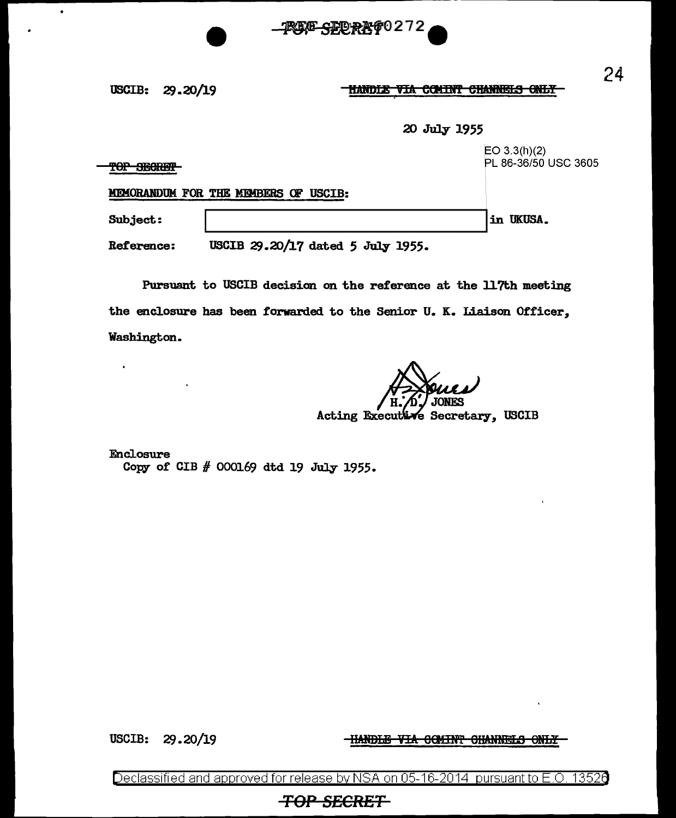

HANDLE VIA COMINT CHANNELS ONLY

20 July 1955

 $EO 3.3(h)(2)$ PL 86-36/50 USC 3605 TOP SECRET MEMORANDUM FOR THE MEMBERS OF USCIB: Subject: in UKUSA.

USCIB 29.20/17 dated 5 July 1955. Reference:

Pursuant to USCIB decision on the reference at the 117th meeting the enclosure has been forwarded to the Senior U. K. Liaison Officer, Washington.

Acting Executive Secretary, USCIB

Enclosure Copy of CIB # 000169 dtd 19 July 1955.

**USCIB:** 29.20/19 **HANDLE VIA COMINT CHANNELS ONLY** 

Declassified and approved for release by NSA on 05-16-2014 pursuant to E.O. 13526

## **TOP SECRET**

24

 $\bullet$ 

 $\bullet$ 

USCIB: 29.20/19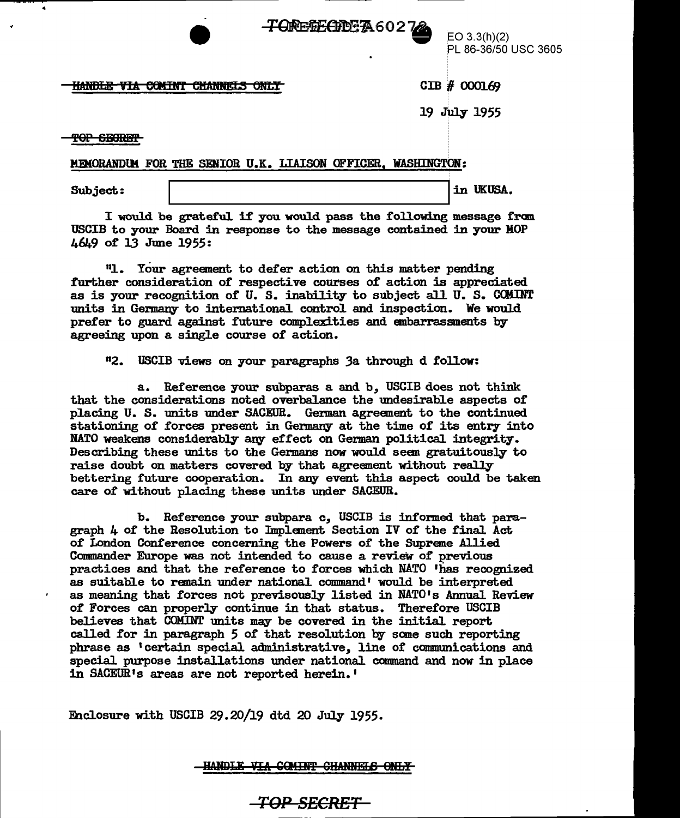

PL 86-36/50 USC 3605

## <u>HANDLE VIA COMINT CHANNELS ONLY</u>

CIB # 000169

19 July 1955

<del>TOP SECRET</del>

c

MEMORANDUM FOR THE SENIOR U.K. LIAISON OFFICER, WASHINGTON:

Subject:  $\sqrt{a^2 + b^2}$  in UKUSA.

I would be grateful if you would pass the following message from USCIB to your Board in response to the message contained in your MOP 4649 of 13 June 1955:

<sup>11</sup>1. Your agreement to deier action on this matter pending further consideration of respective courses of action is appreciated. as is your recognition of U. S. inability to subject all U. S. COMINT units in Germany to international contro1 and inspection. We would prefer to guard against future complexities and embarrassments by agreeing upon a single course of action.

112. USCIB views on your paragraphs 3a through d follow:

a. Reference your subparas a and b, USCIB does not think that the considerations noted overbalance the undesirable aspects of placing U. S. units under SACEUR. German agreement to the continued. stationing of forces present in Germany at the time of its entry into NATO weakens considerably any effect on German political integrity. Describing these units to the Germans now wou1d seen gratuitously to raise doubt on matters covered by that agreement without really bettering future cooperation. In any event this aspect could be taken care of without p1acing these units under SACEUR.

b. Reference your subpara c, USCIB is informed that paragraph  $4$  of the Resolution to Implement Section IV of the final Act of London Conference concerning the Powers of the Supreme Allied Commander Europe was not intended to cause a review of previous practices and that the reference to forces which NATO 'has recognized as suitab1e to remain under national command' wou1d be interpreted as meaning that forces not previsously listed in NATO's Annua1 Review of Forces can properly continue in that status. Therefore USCIB believes that COMINT units may be covered in the initial report called for in paragraph 5 of that resolution by some such reporting phrase as 'certain special administrative, line of communications and special purpose installations under national command and now in place in SACEUR's areas are not reported herein.'

Enc1osure with USCIB 29.20/19 dtd 20 July 1955.

<u>HANDLE VIA COMINT CHANNELS ONLY</u>

*TOP SECRET*